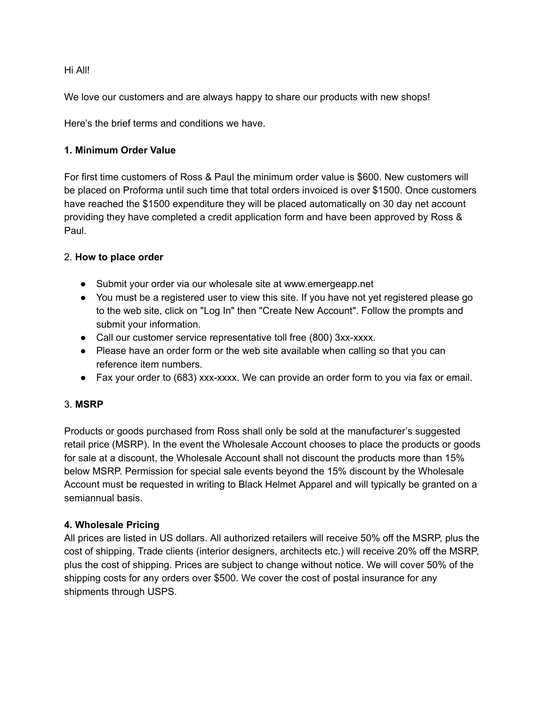#### Hi All!

We love our customers and are always happy to share our products with new shops!

Here's the brief terms and conditions we have.

## 1. Minimum Order Value

For first time customers of Ross & Paul the minimum order value is \$600. New customers will be placed on Proforma until such time that total orders invoiced is over \$1500. Once customers have reached the \$1500 expenditure they will be placed automatically on 30 day net account providing they have completed a credit application form and have been approved by Ross & Paul.

## 2. How to place order

- Submit your order via our wholesale site at www.emergeapp.net
- You must be a registered user to view this site. If you have not yet registered please go to the web site, click on "Log In" then "Create New Account". Follow the prompts and submit your information.
- Call our customer service representative toll free (800) 3xx-xxxx.
- Please have an order form or the web site available when calling so that you can reference item numbers.
- Fax your order to (683) xxx-xxxx. We can provide an order form to you via fax or email.

#### 3. MSRP

Products or goods purchased from Ross shall only be sold at the manufacturer's suggested retail price (MSRP). In the event the Wholesale Account chooses to place the products or goods for sale at a discount, the Wholesale Account shall not discount the products more than 15% below MSRP. Permission for special sale events beyond the 15% discount by the Wholesale Account must be requested in writing to Black Helmet Apparel and will typically be granted on a semiannual basis.

#### 4. Wholesale Pricing

All prices are listed in US dollars. All authorized retailers will receive 50% off the MSRP, plus the cost of shipping. Trade clients (interior designers, architects etc.) will receive 20% off the MSRP, plus the cost of shipping. Prices are subject to change without notice. We will cover 50% of the shipping costs for any orders over \$500. We cover the cost of postal insurance for any shipments through USPS.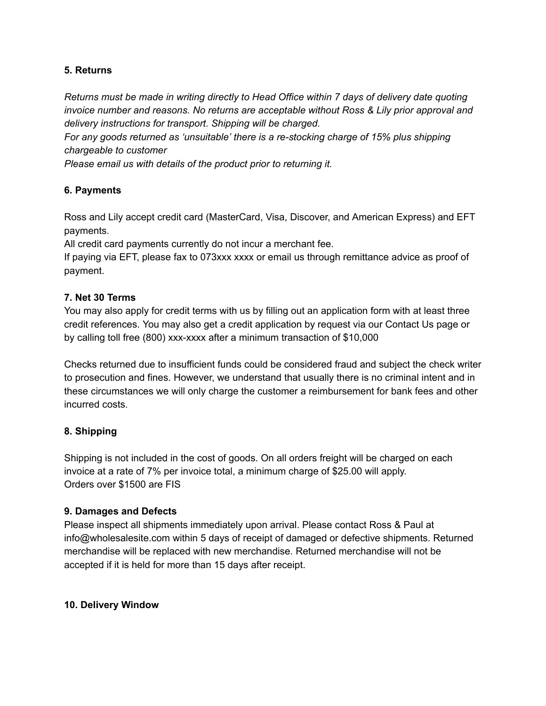## 5. Returns

Returns must be made in writing directly to Head Office within 7 days of delivery date quoting invoice number and reasons. No returns are acceptable without Ross & Lily prior approval and delivery instructions for transport. Shipping will be charged.

For any goods returned as 'unsuitable' there is a re-stocking charge of 15% plus shipping chargeable to customer

Please email us with details of the product prior to returning it.

## 6. Payments

Ross and Lily accept credit card (MasterCard, Visa, Discover, and American Express) and EFT payments.

All credit card payments currently do not incur a merchant fee.

If paying via EFT, please fax to 073xxx xxxx or email us through remittance advice as proof of payment.

## 7. Net 30 Terms

You may also apply for credit terms with us by filling out an application form with at least three credit references. You may also get a credit application by request via our Contact Us page or by calling toll free (800) xxx-xxxx after a minimum transaction of \$10,000

Checks returned due to insufficient funds could be considered fraud and subject the check writer to prosecution and fines. However, we understand that usually there is no criminal intent and in these circumstances we will only charge the customer a reimbursement for bank fees and other incurred costs.

## 8. Shipping

Shipping is not included in the cost of goods. On all orders freight will be charged on each invoice at a rate of 7% per invoice total, a minimum charge of \$25.00 will apply. Orders over \$1500 are FIS

#### 9. Damages and Defects

Please inspect all shipments immediately upon arrival. Please contact Ross & Paul at info@wholesalesite.com within 5 days of receipt of damaged or defective shipments. Returned merchandise will be replaced with new merchandise. Returned merchandise will not be accepted if it is held for more than 15 days after receipt.

#### 10. Delivery Window